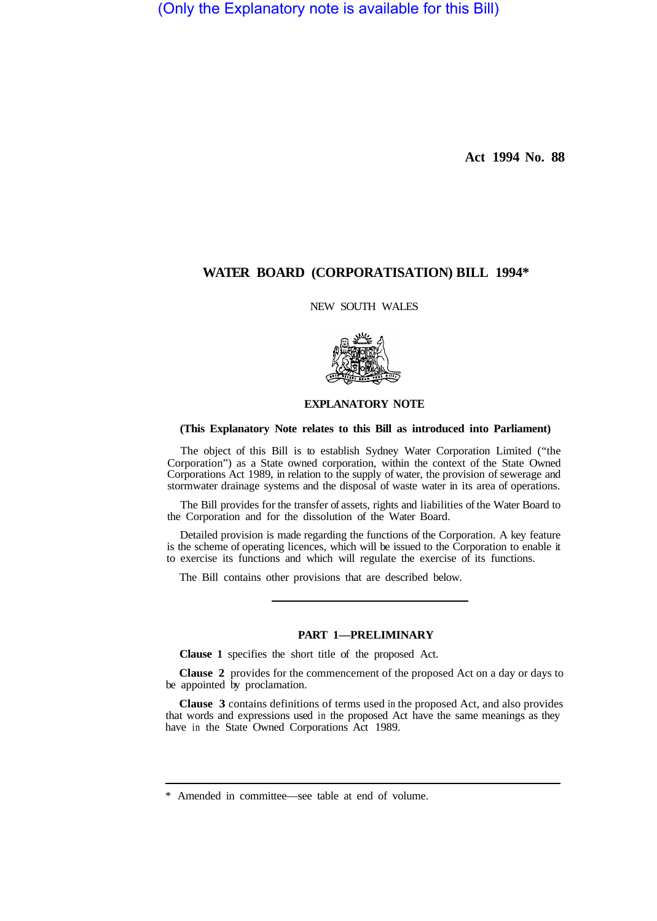(Only the Explanatory note is available for this Bill)

**Act 1994 No. 88** 

# **WATER BOARD (CORPORATISATION) BILL 1994\***

NEW SOUTH WALES



# **EXPLANATORY NOTE**

#### **(This Explanatory Note relates to this Bill as introduced into Parliament)**

The object of this Bill is to establish Sydney Water Corporation Limited ("the Corporation") as a State owned corporation, within the context of the State Owned Corporations Act 1989, in relation to the supply of water, the provision of sewerage and stormwater drainage systems and the disposal of waste water in its area of operations.

The Bill provides for the transfer of assets, rights and liabilities of the Water Board to the Corporation and for the dissolution of the Water Board.

Detailed provision is made regarding the functions of the Corporation. A key feature is the scheme of operating licences, which will be issued to the Corporation to enable it to exercise its functions and which will regulate the exercise of its functions.

The Bill contains other provisions that are described below.

# **PART 1—PRELIMINARY**

**Clause 1** specifies the short title of the proposed Act.

**Clause 2** provides for the commencement of the proposed Act on a day or days to be appointed by proclamation.

**Clause 3** contains definitions of terms used in the proposed Act, and also provides that words and expressions used in the proposed Act have the same meanings as they have in the State Owned Corporations Act 1989.

<sup>\*</sup> Amended in committee—see table at end of volume.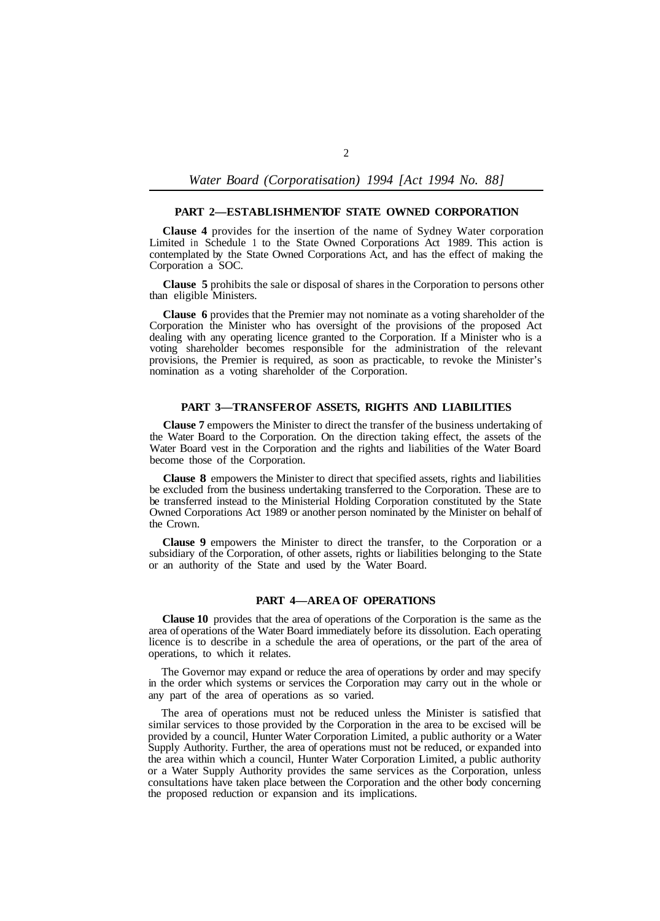#### **PART 2-ESTABLISHMENTOF STATE OWNED CORPORATION**

**Clause 4** provides for the insertion of the name of Sydney Water corporation Limited in Schedule 1 to the State Owned Corporations Act 1989. This action is contemplated by the State Owned Corporations Act, and has the effect of making the Corporation a SOC.

**Clause 5** prohibits the sale or disposal of shares in the Corporation to persons other than eligible Ministers.

**Clause 6** provides that the Premier may not nominate as a voting shareholder of the Corporation the Minister who has oversight of the provisions of the proposed Act dealing with any operating licence granted to the Corporation. If a Minister who is a voting shareholder becomes responsible for the administration of the relevant provisions, the Premier is required, as soon as practicable, to revoke the Minister's nomination as a voting shareholder of the Corporation.

## PART 3-TRANSFER OF ASSETS, RIGHTS AND LIABILITIES

**Clause 7** empowers the Minister to direct the transfer of the business undertaking of the Water Board to the Corporation. On the direction taking effect, the assets of the Water Board vest in the Corporation and the rights and liabilities of the Water Board become those of the Corporation.

**Clause 8** empowers the Minister to direct that specified assets, rights and liabilities be excluded from the business undertaking transferred to the Corporation. These are to be transferred instead to the Ministerial Holding Corporation constituted by the State Owned Corporations Act 1989 or another person nominated by the Minister on behalf of the Crown.

**Clause 9** empowers the Minister to direct the transfer, to the Corporation or a subsidiary of the Corporation, of other assets, rights or liabilities belonging to the State or an authority of the State and used by the Water Board.

#### **PART 4—AREA OF OPERATIONS**

**Clause 10** provides that the area of operations of the Corporation is the same as the area of operations of the Water Board immediately before its dissolution. Each operating licence is to describe in a schedule the area of operations, or the part of the area of operations, to which it relates.

The Governor may expand or reduce the area of operations by order and may specify in the order which systems or services the Corporation may carry out in the whole or any part of the area of operations as so varied.

The area of operations must not be reduced unless the Minister is satisfied that similar services to those provided by the Corporation in the area to be excised will be provided by a council, Hunter Water Corporation Limited, a public authority or a Water Supply Authority. Further, the area of operations must not be reduced, or expanded into the area within which a council, Hunter Water Corporation Limited, a public authority or a Water Supply Authority provides the same services as the Corporation, unless consultations have taken place between the Corporation and the other body concerning the proposed reduction or expansion and its implications.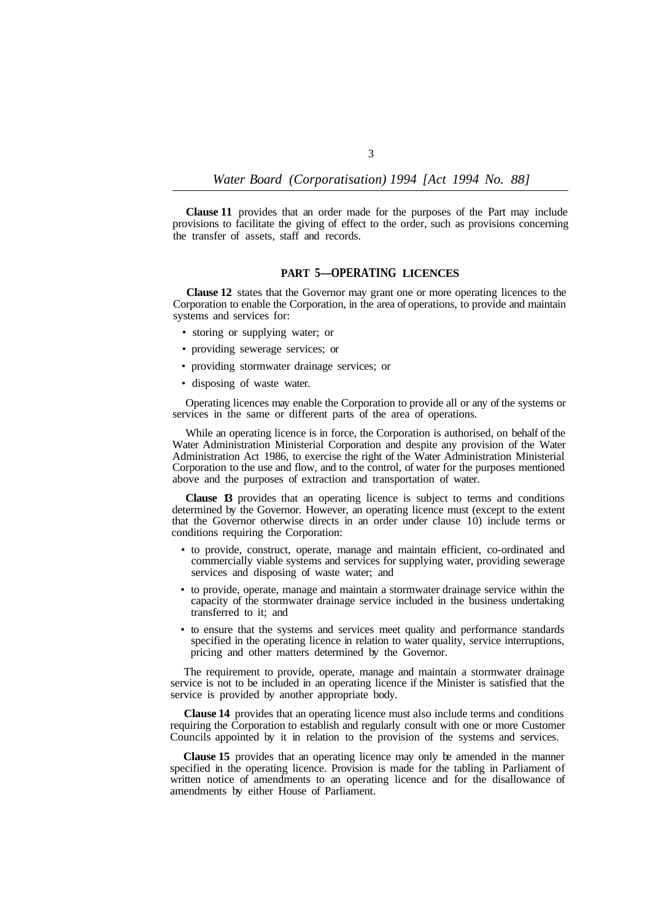**Clause 11** provides that an order made for the purposes of the Part may include provisions to facilitate the giving of effect to the order, such as provisions concerning the transfer of assets, staff and records.

# **PART 5—OPERATING LICENCES**

**Clause 12** states that the Governor may grant one or more operating licences to the Corporation to enable the Corporation, in the area of operations, to provide and maintain systems and services for:

- storing or supplying water; or
- providing sewerage services; or
- providing stormwater drainage services; or
- disposing of waste water.

Operating licences may enable the Corporation to provide all or any of the systems or services in the same or different parts of the area of operations.

While an operating licence is in force, the Corporation is authorised, on behalf of the Water Administration Ministerial Corporation and despite any provision of the Water Administration Act 1986, to exercise the right of the Water Administration Ministerial Corporation to the use and flow, and to the control, of water for the purposes mentioned above and the purposes of extraction and transportation of water.

**Clause 13** provides that an operating licence is subject to terms and conditions determined by the Governor. However, an operating licence must (except to the extent that the Governor otherwise directs in an order under clause 10) include terms or conditions requiring the Corporation:

- to provide, construct, operate, manage and maintain efficient, co-ordinated and commercially viable systems and services for supplying water, providing sewerage services and disposing of waste water; and
- to provide, operate, manage and maintain a stormwater drainage service within the capacity of the stormwater drainage service included in the business undertaking transferred to it; and
- to ensure that the systems and services meet quality and performance standards specified in the operating licence in relation to water quality, service interruptions, pricing and other matters determined by the Governor.

The requirement to provide, operate, manage and maintain a stormwater drainage service is not to be included in an operating licence if the Minister is satisfied that the service is provided by another appropriate body.

**Clause 14** provides that an operating licence must also include terms and conditions requiring the Corporation to establish and regularly consult with one or more Customer Councils appointed by it in relation to the provision of the systems and services.

**Clause 15** provides that an operating licence may only be amended in the manner specified in the operating licence. Provision is made for the tabling in Parliament of written notice of amendments to an operating licence and for the disallowance of amendments by either House of Parliament.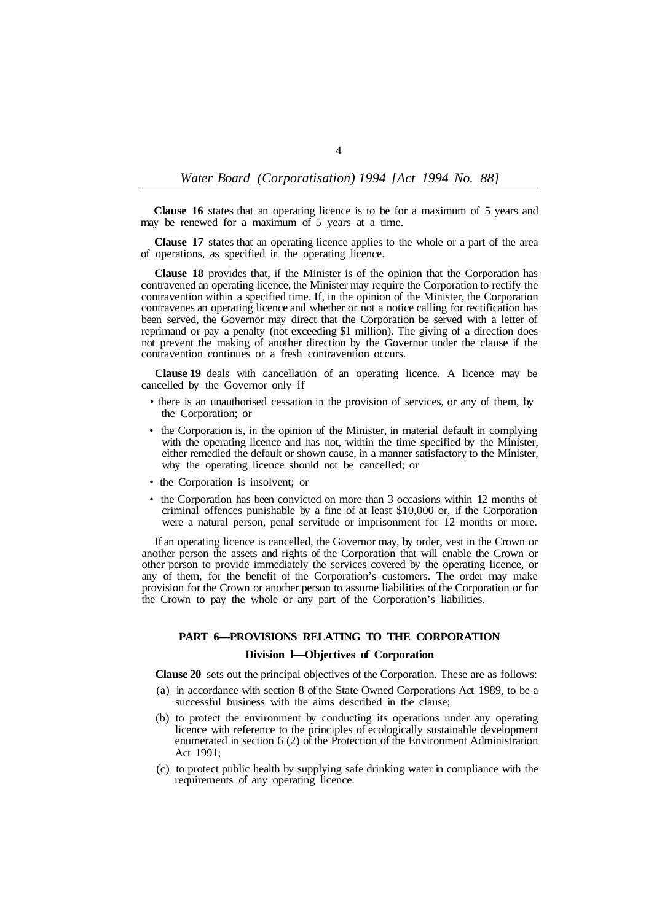**Clause 16** states that an operating licence is to be for a maximum of 5 years and may be renewed for a maximum of 5 years at a time.

**Clause 17** states that an operating licence applies to the whole or a part of the area of operations, as specified in the operating licence.

**Clause 18** provides that, if the Minister is of the opinion that the Corporation has contravened an operating licence, the Minister may require the Corporation to rectify the contravention within a specified time. If, in the opinion of the Minister, the Corporation contravenes an operating licence and whether or not a notice calling for rectification has been served, the Governor may direct that the Corporation be served with a letter of reprimand or pay a penalty (not exceeding \$1 million). The giving of a direction does not prevent the making of another direction by the Governor under the clause if the contravention continues or a fresh contravention occurs.

**Clause 19** deals with cancellation of an operating licence. A licence may be cancelled by the Governor only if

- there is an unauthorised cessation in the provision of services, or any of them, by the Corporation; or
- the Corporation is, in the opinion of the Minister, in material default in complying with the operating licence and has not, within the time specified by the Minister, either remedied the default or shown cause, in a manner satisfactory to the Minister, why the operating licence should not be cancelled; or
- the Corporation is insolvent; or
- the Corporation has been convicted on more than 3 occasions within 12 months of criminal offences punishable by a fine of at least \$10,000 or, if the Corporation were a natural person, penal servitude or imprisonment for 12 months or more.

If an operating licence is cancelled, the Governor may, by order, vest in the Crown or another person the assets and rights of the Corporation that will enable the Crown or other person to provide immediately the services covered by the operating licence, or any of them, for the benefit of the Corporation's customers. The order may make provision for the Crown or another person to assume liabilities of the Corporation or for the Crown to pay the whole or any part of the Corporation's liabilities.

# **PART 6—PROVISIONS RELATING TO THE CORPORATION**

# **Division l—Objectives of Corporation**

**Clause 20** sets out the principal objectives of the Corporation. These are as follows:

- (a) in accordance with section 8 of the State Owned Corporations Act 1989, to be a successful business with the aims described in the clause;
- (b) to protect the environment by conducting its operations under any operating licence with reference to the principles of ecologically sustainable development enumerated in section 6 (2) of the Protection of the Environment Administration Act 1991;
- (c) to protect public health by supplying safe drinking water in compliance with the requirements of any operating licence.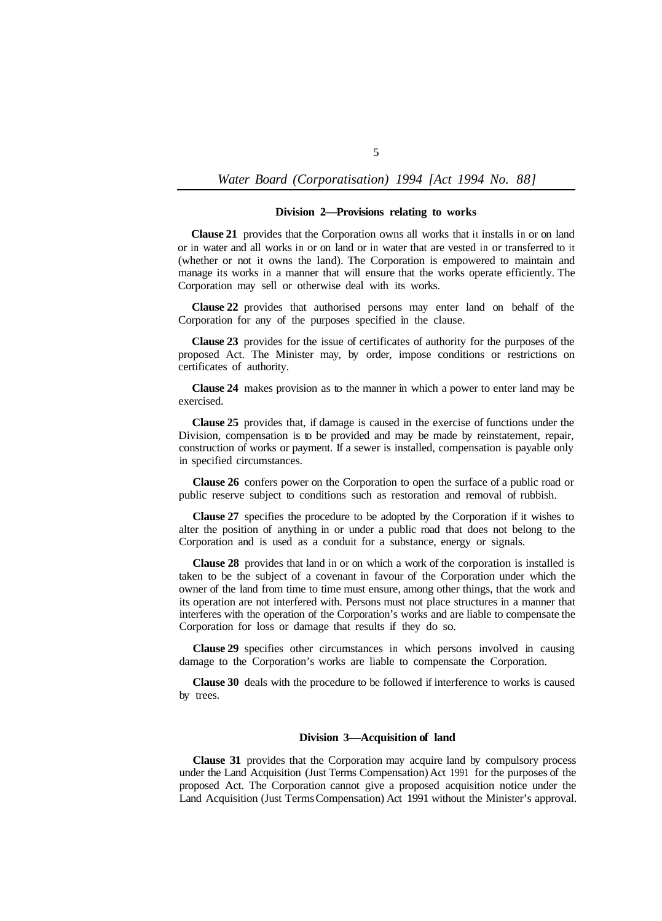#### **Division 2—Provisions relating to works**

**Clause 21** provides that the Corporation owns all works that it installs in or on land or in water and all works in or on land or in water that are vested in or transferred to it (whether or not it owns the land). The Corporation is empowered to maintain and manage its works in a manner that will ensure that the works operate efficiently. The Corporation may sell or otherwise deal with its works.

**Clause 22** provides that authorised persons may enter land on behalf of the Corporation for any of the purposes specified in the clause.

**Clause 23** provides for the issue of certificates of authority for the purposes of the proposed Act. The Minister may, by order, impose conditions or restrictions on certificates of authority.

**Clause 24** makes provision as to the manner in which a power to enter land may be exercised.

**Clause 25** provides that, if damage is caused in the exercise of functions under the Division, compensation is to be provided and may be made by reinstatement, repair, construction of works or payment. If a sewer is installed, compensation is payable only in specified circumstances.

**Clause 26** confers power on the Corporation to open the surface of a public road or public reserve subject to conditions such as restoration and removal of rubbish.

**Clause 27** specifies the procedure to be adopted by the Corporation if it wishes to alter the position of anything in or under a public road that does not belong to the Corporation and is used as a conduit for a substance, energy or signals.

**Clause 28** provides that land in or on which a work of the corporation is installed is taken to be the subject of a covenant in favour of the Corporation under which the owner of the land from time to time must ensure, among other things, that the work and its operation are not interfered with. Persons must not place structures in a manner that interferes with the operation of the Corporation's works and are liable to compensate the Corporation for loss or damage that results if they do so.

**Clause 29** specifies other circumstances in which persons involved in causing damage to the Corporation's works are liable to compensate the Corporation.

**Clause 30** deals with the procedure to be followed if interference to works is caused by trees.

### **Division 3—Acquisition of land**

**Clause 31** provides that the Corporation may acquire land by compulsory process under the Land Acquisition (Just Terms Compensation) Act 1991 for the purposes of the proposed Act. The Corporation cannot give a proposed acquisition notice under the Land Acquisition (Just Terms Compensation) Act 1991 without the Minister's approval.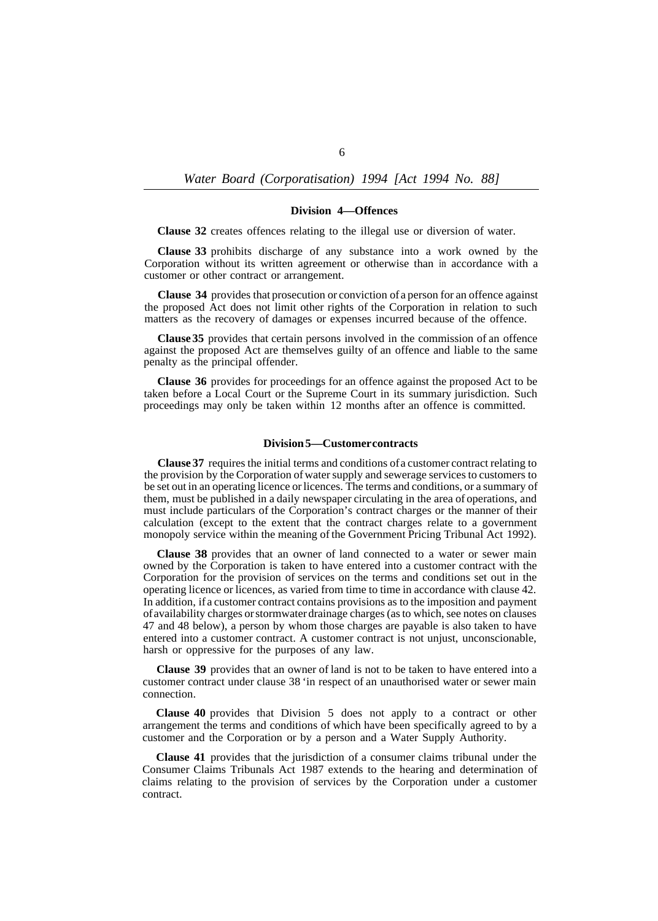*Water Board (Corporatisation) 1994 [Act 1994 No. 88]* 

#### **Division 4—Offences**

**Clause 32** creates offences relating to the illegal use or diversion of water.

**Clause 33** prohibits discharge of any substance into a work owned by the Corporation without its written agreement or otherwise than in accordance with a customer or other contract or arrangement.

**Clause 34** provides that prosecution or conviction of a person for an offence against the proposed Act does not limit other rights of the Corporation in relation to such matters as the recovery of damages or expenses incurred because of the offence.

**Clause 35** provides that certain persons involved in the commission of an offence against the proposed Act are themselves guilty of an offence and liable to the same penalty as the principal offender.

**Clause 36** provides for proceedings for an offence against the proposed Act to be taken before a Local Court or the Supreme Court in its summary jurisdiction. Such proceedings may only be taken within 12 months after an offence is committed.

# **Division 5—Customer contracts**

**Clause 37** requires the initial terms and conditions of a customer contract relating to the provision by the Corporation of water supply and sewerage services to customers to be set out in an operating licence or licences. The terms and conditions, or a summary of them, must be published in a daily newspaper circulating in the area of operations, and must include particulars of the Corporation's contract charges or the manner of their calculation (except to the extent that the contract charges relate to a government monopoly service within the meaning of the Government Pricing Tribunal Act 1992).

**Clause 38** provides that an owner of land connected to a water or sewer main owned by the Corporation is taken to have entered into a customer contract with the Corporation for the provision of services on the terms and conditions set out in the operating licence or licences, as varied from time to time in accordance with clause 42. In addition, if a customer contract contains provisions as to the imposition and payment of availability charges or stormwater drainage charges (as to which, see notes on clauses 47 and 48 below), a person by whom those charges are payable is also taken to have entered into a customer contract. A customer contract is not unjust, unconscionable, harsh or oppressive for the purposes of any law.

**Clause 39** provides that an owner of land is not to be taken to have entered into a customer contract under clause 38 'in respect of an unauthorised water or sewer main connection.

**Clause 40** provides that Division 5 does not apply to a contract or other arrangement the terms and conditions of which have been specifically agreed to by a customer and the Corporation or by a person and a Water Supply Authority.

**Clause 41** provides that the jurisdiction of a consumer claims tribunal under the Consumer Claims Tribunals Act 1987 extends to the hearing and determination of claims relating to the provision of services by the Corporation under a customer contract.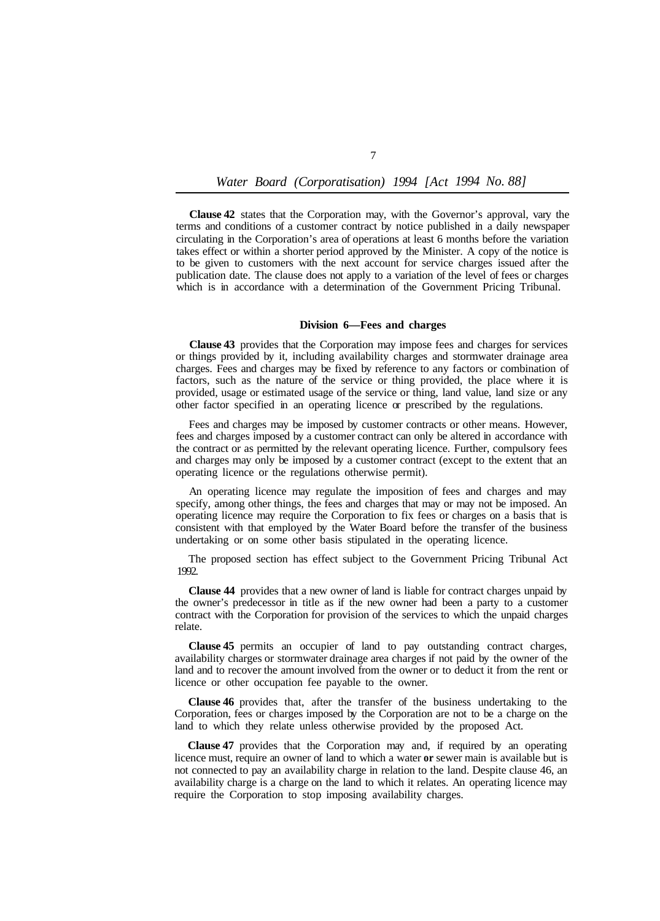**Clause 42** states that the Corporation may, with the Governor's approval, vary the terms and conditions of a customer contract by notice published in a daily newspaper circulating in the Corporation's area of operations at least 6 months before the variation takes effect or within a shorter period approved by the Minister. A copy of the notice is to be given to customers with the next account for service charges issued after the publication date. The clause does not apply to a variation of the level of fees or charges which is in accordance with a determination of the Government Pricing Tribunal.

#### **Division 6—Fees and charges**

**Clause 43** provides that the Corporation may impose fees and charges for services or things provided by it, including availability charges and stormwater drainage area charges. Fees and charges may be fixed by reference to any factors or combination of factors, such as the nature of the service or thing provided, the place where it is provided, usage or estimated usage of the service or thing, land value, land size or any other factor specified in an operating licence or prescribed by the regulations.

Fees and charges may be imposed by customer contracts or other means. However, fees and charges imposed by a customer contract can only be altered in accordance with the contract or as permitted by the relevant operating licence. Further, compulsory fees and charges may only be imposed by a customer contract (except to the extent that an operating licence or the regulations otherwise permit).

An operating licence may regulate the imposition of fees and charges and may specify, among other things, the fees and charges that may or may not be imposed. An operating licence may require the Corporation to fix fees or charges on a basis that is consistent with that employed by the Water Board before the transfer of the business undertaking or on some other basis stipulated in the operating licence.

The proposed section has effect subject to the Government Pricing Tribunal Act 1992.

**Clause 44** provides that a new owner of land is liable for contract charges unpaid by the owner's predecessor in title as if the new owner had been a party to a customer contract with the Corporation for provision of the services to which the unpaid charges relate.

**Clause 45** permits an occupier of land to pay outstanding contract charges, availability charges or stormwater drainage area charges if not paid by the owner of the land and to recover the amount involved from the owner or to deduct it from the rent or licence or other occupation fee payable to the owner.

**Clause 46** provides that, after the transfer of the business undertaking to the Corporation, fees or charges imposed by the Corporation are not to be a charge on the land to which they relate unless otherwise provided by the proposed Act.

**Clause 47** provides that the Corporation may and, if required by an operating licence must, require an owner of land to which a water **or** sewer main is available but is not connected to pay an availability charge in relation to the land. Despite clause 46, an availability charge is a charge on the land to which it relates. An operating licence may require the Corporation to stop imposing availability charges.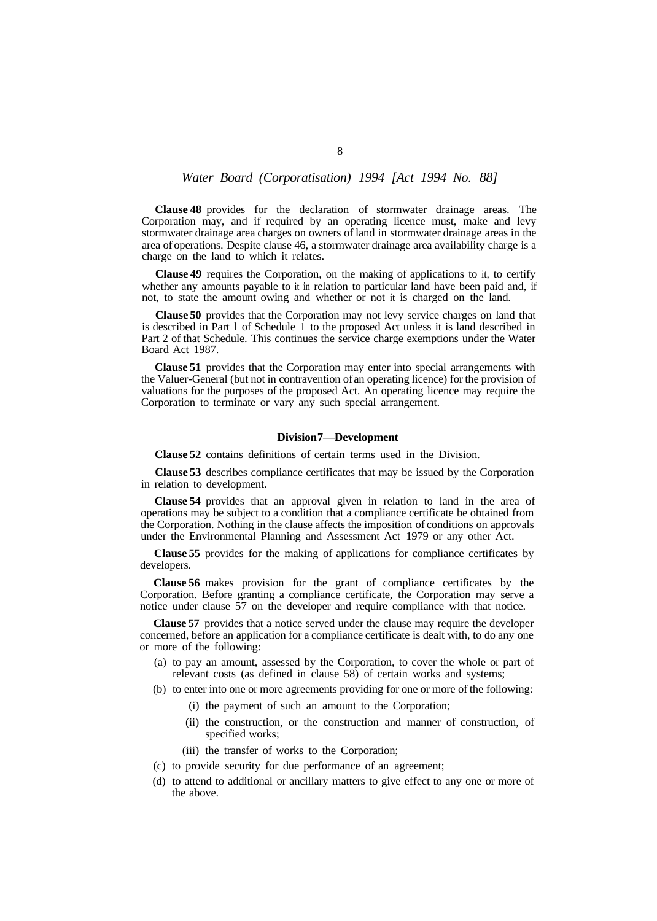**Clause 48** provides for the declaration of stormwater drainage areas. The Corporation may, and if required by an operating licence must, make and levy stormwater drainage area charges on owners of land in stormwater drainage areas in the area of operations. Despite clause 46, a stormwater drainage area availability charge is a charge on the land to which it relates.

**Clause 49** requires the Corporation, on the making of applications to it, to certify whether any amounts payable to it in relation to particular land have been paid and, if not, to state the amount owing and whether or not it is charged on the land.

**Clause 50** provides that the Corporation may not levy service charges on land that is described in Part l of Schedule 1 to the proposed Act unless it is land described in Part 2 of that Schedule. This continues the service charge exemptions under the Water Board Act 1987.

**Clause 51** provides that the Corporation may enter into special arrangements with the Valuer-General (but not in contravention of an operating licence) for the provision of valuations for the purposes of the proposed Act. An operating licence may require the Corporation to terminate or vary any such special arrangement.

# **Division 7—Development**

**Clause 52** contains definitions of certain terms used in the Division.

**Clause 53** describes compliance certificates that may be issued by the Corporation in relation to development.

**Clause 54** provides that an approval given in relation to land in the area of operations may be subject to a condition that a compliance certificate be obtained from the Corporation. Nothing in the clause affects the imposition of conditions on approvals under the Environmental Planning and Assessment Act 1979 or any other Act.

**Clause 55** provides for the making of applications for compliance certificates by developers.

**Clause 56** makes provision for the grant of compliance certificates by the Corporation. Before granting a compliance certificate, the Corporation may serve a notice under clause 57 on the developer and require compliance with that notice.

**Clause 57** provides that a notice served under the clause may require the developer concerned, before an application for a compliance certificate is dealt with, to do any one or more of the following:

(a) to pay an amount, assessed by the Corporation, to cover the whole or part of relevant costs (as defined in clause 58) of certain works and systems;

(b) to enter into one or more agreements providing for one or more of the following:

- (i) the payment of such an amount to the Corporation;
- (ii) the construction, or the construction and manner of construction, of specified works;
- (iii) the transfer of works to the Corporation;
- (c) to provide security for due performance of an agreement;
- (d) to attend to additional or ancillary matters to give effect to any one or more of the above.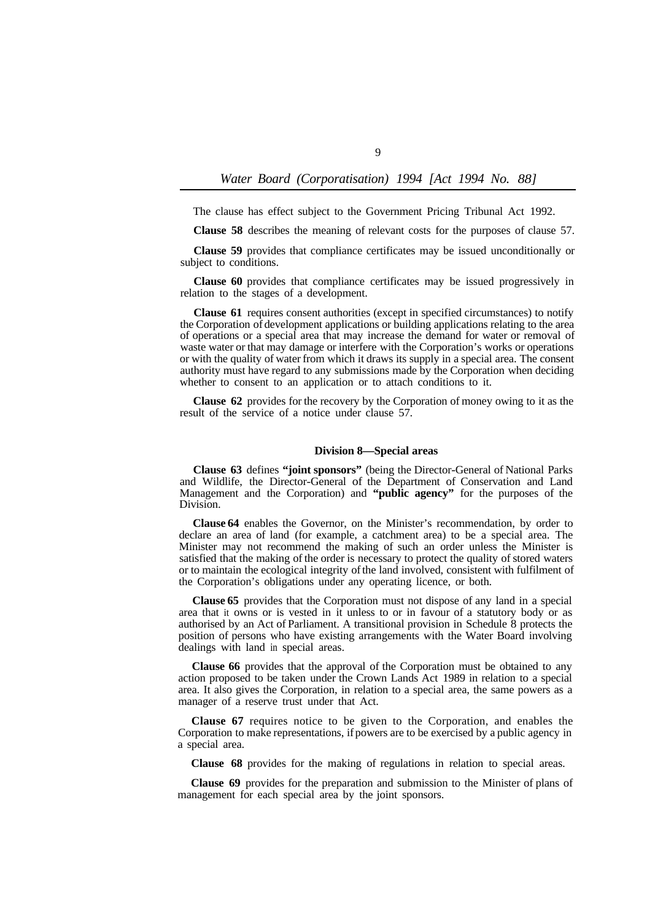The clause has effect subject to the Government Pricing Tribunal Act 1992.

**Clause 58** describes the meaning of relevant costs for the purposes of clause 57.

**Clause 59** provides that compliance certificates may be issued unconditionally or subject to conditions.

**Clause 60** provides that compliance certificates may be issued progressively in relation to the stages of a development.

**Clause 61** requires consent authorities (except in specified circumstances) to notify the Corporation of development applications or building applications relating to the area of operations or a special area that may increase the demand for water or removal of waste water or that may damage or interfere with the Corporation's works or operations or with the quality of water from which it draws its supply in a special area. The consent authority must have regard to any submissions made by the Corporation when deciding whether to consent to an application or to attach conditions to it.

**Clause 62** provides for the recovery by the Corporation of money owing to it as the result of the service of a notice under clause 57.

#### **Division 8—Special areas**

**Clause 63** defines **"joint sponsors"** (being the Director-General of National Parks and Wildlife, the Director-General of the Department of Conservation and Land Management and the Corporation) and **"public agency"** for the purposes of the Division.

**Clause 64** enables the Governor, on the Minister's recommendation, by order to declare an area of land (for example, a catchment area) to be a special area. The Minister may not recommend the making of such an order unless the Minister is satisfied that the making of the order is necessary to protect the quality of stored waters or to maintain the ecological integrity of the land involved, consistent with fulfilment of the Corporation's obligations under any operating licence, or both.

**Clause 65** provides that the Corporation must not dispose of any land in a special area that it owns or is vested in it unless to or in favour of a statutory body or as authorised by an Act of Parliament. A transitional provision in Schedule 8 protects the position of persons who have existing arrangements with the Water Board involving dealings with land in special areas.

**Clause 66** provides that the approval of the Corporation must be obtained to any action proposed to be taken under the Crown Lands Act 1989 in relation to a special area. It also gives the Corporation, in relation to a special area, the same powers as a manager of a reserve trust under that Act.

**Clause 67** requires notice to be given to the Corporation, and enables the Corporation to make representations, if powers are to be exercised by a public agency in a special area.

**Clause 68** provides for the making of regulations in relation to special areas.

**Clause 69** provides for the preparation and submission to the Minister of plans of management for each special area by the joint sponsors.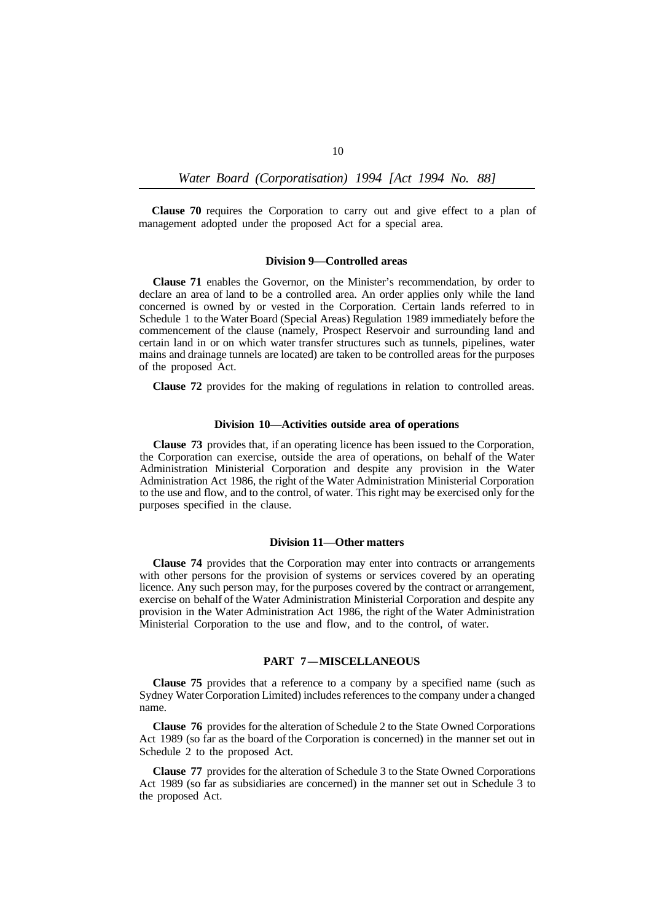**Clause 70** requires the Corporation to carry out and give effect to a plan of management adopted under the proposed Act for a special area.

#### **Division 9—Controlled areas**

**Clause 71** enables the Governor, on the Minister's recommendation, by order to declare an area of land to be a controlled area. An order applies only while the land concerned is owned by or vested in the Corporation. Certain lands referred to in Schedule 1 to the Water Board (Special Areas) Regulation 1989 immediately before the commencement of the clause (namely, Prospect Reservoir and surrounding land and certain land in or on which water transfer structures such as tunnels, pipelines, water mains and drainage tunnels are located) are taken to be controlled areas for the purposes of the proposed Act.

**Clause 72** provides for the making of regulations in relation to controlled areas.

#### **Division 10—Activities outside area of operations**

**Clause 73** provides that, if an operating licence has been issued to the Corporation, the Corporation can exercise, outside the area of operations, on behalf of the Water Administration Ministerial Corporation and despite any provision in the Water Administration Act 1986, the right of the Water Administration Ministerial Corporation to the use and flow, and to the control, of water. This right may be exercised only for the purposes specified in the clause.

#### **Division 11—Other matters**

**Clause 74** provides that the Corporation may enter into contracts or arrangements with other persons for the provision of systems or services covered by an operating licence. Any such person may, for the purposes covered by the contract or arrangement, exercise on behalf of the Water Administration Ministerial Corporation and despite any provision in the Water Administration Act 1986, the right of the Water Administration Ministerial Corporation to the use and flow, and to the control, of water.

# **PART 7-MISCELLANEOUS**

**Clause 75** provides that a reference to a company by a specified name (such as Sydney Water Corporation Limited) includes references to the company under a changed name.

**Clause 76** provides for the alteration of Schedule 2 to the State Owned Corporations Act 1989 (so far as the board of the Corporation is concerned) in the manner set out in Schedule 2 to the proposed Act.

**Clause 77** provides for the alteration of Schedule 3 to the State Owned Corporations Act 1989 (so far as subsidiaries are concerned) in the manner set out in Schedule 3 to the proposed Act.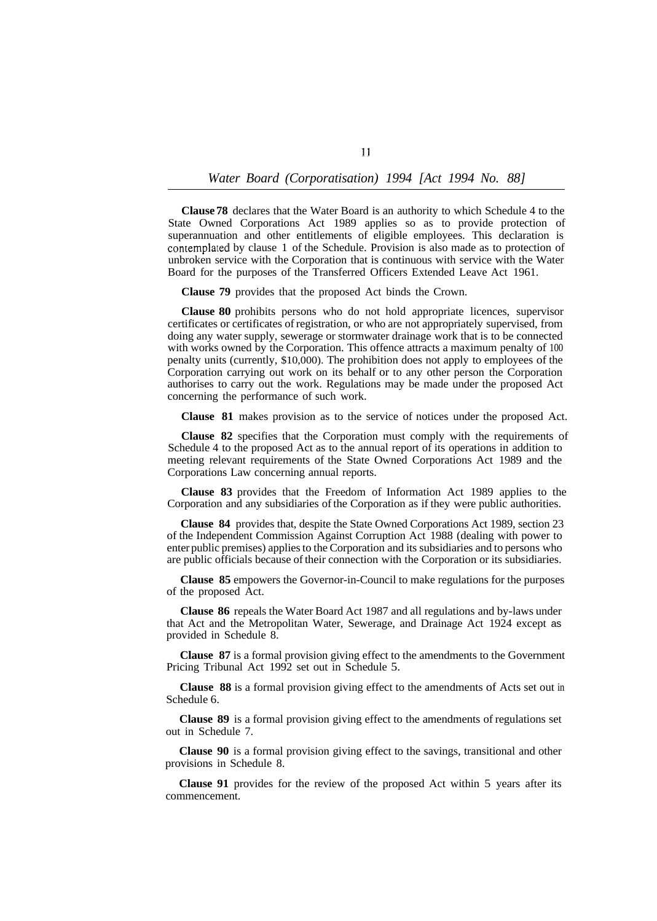**Clause 78** declares that the Water Board is an authority to which Schedule 4 to the State Owned Corporations Act 1989 applies so as to provide protection of superannuation and other entitlements of eligible employees. This declaration is contemplated by clause 1 of the Schedule. Provision is also made as to protection of unbroken service with the Corporation that is continuous with service with the Water Board for the purposes of the Transferred Officers Extended Leave Act 1961.

**Clause 79** provides that the proposed Act binds the Crown.

**Clause 80** prohibits persons who do not hold appropriate licences, supervisor certificates or certificates of registration, or who are not appropriately supervised, from doing any water supply, sewerage or stormwater drainage work that is to be connected with works owned by the Corporation. This offence attracts a maximum penalty of 100 penalty units (currently, \$10,000). The prohibition does not apply to employees of the Corporation carrying out work on its behalf or to any other person the Corporation authorises to carry out the work. Regulations may be made under the proposed Act concerning the performance of such work.

**Clause 81** makes provision as to the service of notices under the proposed Act.

**Clause 82** specifies that the Corporation must comply with the requirements of Schedule 4 to the proposed Act as to the annual report of its operations in addition to meeting relevant requirements of the State Owned Corporations Act 1989 and the Corporations Law concerning annual reports.

**Clause 83** provides that the Freedom of Information Act 1989 applies to the Corporation and any subsidiaries of the Corporation as if they were public authorities.

**Clause 84** provides that, despite the State Owned Corporations Act 1989, section 23 of the Independent Commission Against Corruption Act 1988 (dealing with power to enter public premises) applies to the Corporation and its subsidiaries and to persons who are public officials because of their connection with the Corporation or its subsidiaries.

**Clause 85** empowers the Governor-in-Council to make regulations for the purposes of the proposed Act.

**Clause 86** repeals the Water Board Act 1987 and all regulations and by-laws under that Act and the Metropolitan Water, Sewerage, and Drainage Act 1924 except as provided in Schedule 8.

**Clause 87** is a formal provision giving effect to the amendments to the Government Pricing Tribunal Act 1992 set out in Schedule 5.

**Clause 88** is a formal provision giving effect to the amendments of Acts set out in Schedule 6.

**Clause 89** is a formal provision giving effect to the amendments of regulations set out in Schedule 7.

**Clause 90** is a formal provision giving effect to the savings, transitional and other provisions in Schedule 8.

**Clause 91** provides for the review of the proposed Act within 5 years after its commencement.